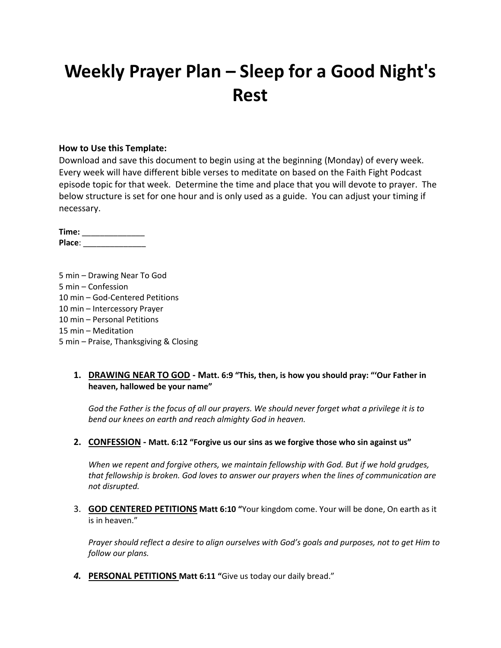# **Weekly Prayer Plan – Sleep for a Good Night's Rest**

#### **How to Use this Template:**

Download and save this document to begin using at the beginning (Monday) of every week. Every week will have different bible verses to meditate on based on the Faith Fight Podcast episode topic for that week. Determine the time and place that you will devote to prayer. The below structure is set for one hour and is only used as a guide. You can adjust your timing if necessary.

**Time:** \_\_\_\_\_\_\_\_\_\_\_\_\_\_ **Place**: \_\_\_\_\_\_\_\_\_\_\_\_\_\_

5 min – Drawing Near To God 5 min – Confession 10 min – God-Centered Petitions 10 min – Intercessory Prayer 10 min – Personal Petitions 15 min – Meditation 5 min – Praise, Thanksgiving & Closing

### **1. DRAWING NEAR TO GOD - Matt. 6:9 "This, then, is how you should pray: "'Our Father in heaven, hallowed be your name"**

*God the Father is the focus of all our prayers. We should never forget what a privilege it is to bend our knees on earth and reach almighty God in heaven.*

#### **2. CONFESSION - Matt. 6:12 "Forgive us our sins as we forgive those who sin against us"**

*When we repent and forgive others, we maintain fellowship with God. But if we hold grudges, that fellowship is broken. God loves to answer our prayers when the lines of communication are not disrupted.*

3. **GOD CENTERED PETITIONS Matt 6:10 "**Your kingdom come. Your will be done, On earth as it is in heaven."

*Prayer should reflect a desire to align ourselves with God's goals and purposes, not to get Him to follow our plans.*

*4.* **PERSONAL PETITIONS Matt 6:11 "**Give us today our daily bread."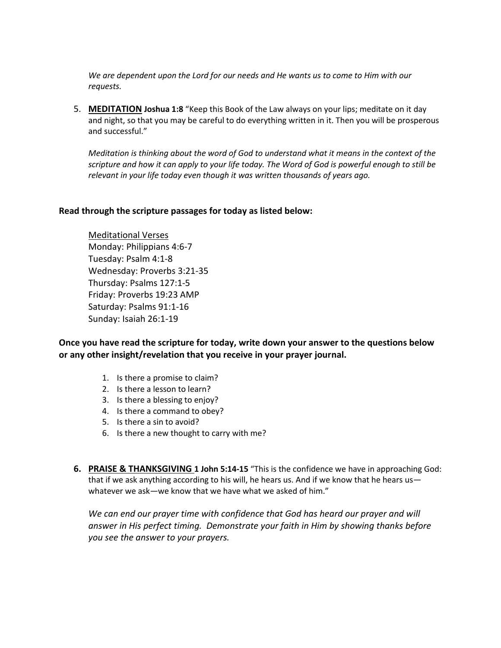*We are dependent upon the Lord for our needs and He wants us to come to Him with our requests.*

5. **MEDITATION Joshua 1:8** "Keep this Book of the Law always on your lips; meditate on it day and night, so that you may be careful to do everything written in it. Then you will be prosperous and successful."

*Meditation is thinking about the word of God to understand what it means in the context of the scripture and how it can apply to your life today. The Word of God is powerful enough to still be relevant in your life today even though it was written thousands of years ago.*

#### **Read through the scripture passages for today as listed below:**

Meditational Verses Monday: Philippians 4:6-7 Tuesday: Psalm 4:1-8 Wednesday: Proverbs 3:21-35 Thursday: Psalms 127:1-5 Friday: Proverbs 19:23 AMP Saturday: Psalms 91:1-16 Sunday: Isaiah 26:1-19

**Once you have read the scripture for today, write down your answer to the questions below or any other insight/revelation that you receive in your prayer journal.** 

- 1. Is there a promise to claim?
- 2. Is there a lesson to learn?
- 3. Is there a blessing to enjoy?
- 4. Is there a command to obey?
- 5. Is there a sin to avoid?
- 6. Is there a new thought to carry with me?
- **6. PRAISE & THANKSGIVING 1 John 5:14-15** "This is the confidence we have in approaching God: that if we ask anything according to his will, he hears us. And if we know that he hears us whatever we ask—we know that we have what we asked of him."

*We can end our prayer time with confidence that God has heard our prayer and will answer in His perfect timing. Demonstrate your faith in Him by showing thanks before you see the answer to your prayers.*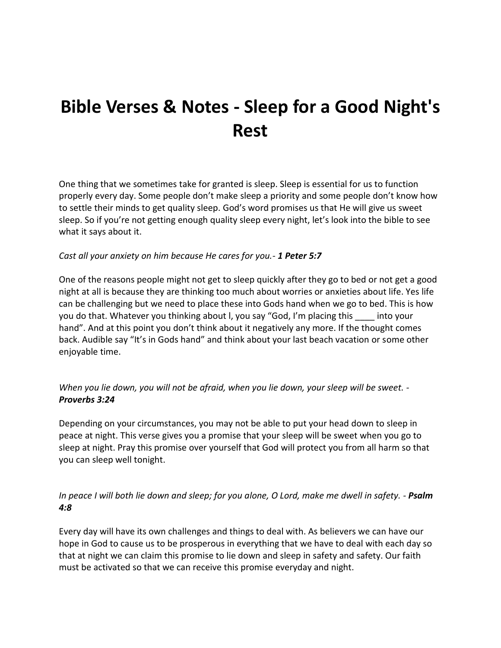# **Bible Verses & Notes - Sleep for a Good Night's Rest**

One thing that we sometimes take for granted is sleep. Sleep is essential for us to function properly every day. Some people don't make sleep a priority and some people don't know how to settle their minds to get quality sleep. God's word promises us that He will give us sweet sleep. So if you're not getting enough quality sleep every night, let's look into the bible to see what it says about it.

### *Cast all your anxiety on him because He cares for you.- 1 Peter 5:7*

One of the reasons people might not get to sleep quickly after they go to bed or not get a good night at all is because they are thinking too much about worries or anxieties about life. Yes life can be challenging but we need to place these into Gods hand when we go to bed. This is how you do that. Whatever you thinking about l, you say "God, I'm placing this \_\_\_\_ into your hand". And at this point you don't think about it negatively any more. If the thought comes back. Audible say "It's in Gods hand" and think about your last beach vacation or some other enjoyable time.

*When you lie down, you will not be afraid, when you lie down, your sleep will be sweet. - Proverbs 3:24*

Depending on your circumstances, you may not be able to put your head down to sleep in peace at night. This verse gives you a promise that your sleep will be sweet when you go to sleep at night. Pray this promise over yourself that God will protect you from all harm so that you can sleep well tonight.

### *In peace I will both lie down and sleep; for you alone, O Lord, make me dwell in safety. - Psalm 4:8*

Every day will have its own challenges and things to deal with. As believers we can have our hope in God to cause us to be prosperous in everything that we have to deal with each day so that at night we can claim this promise to lie down and sleep in safety and safety. Our faith must be activated so that we can receive this promise everyday and night.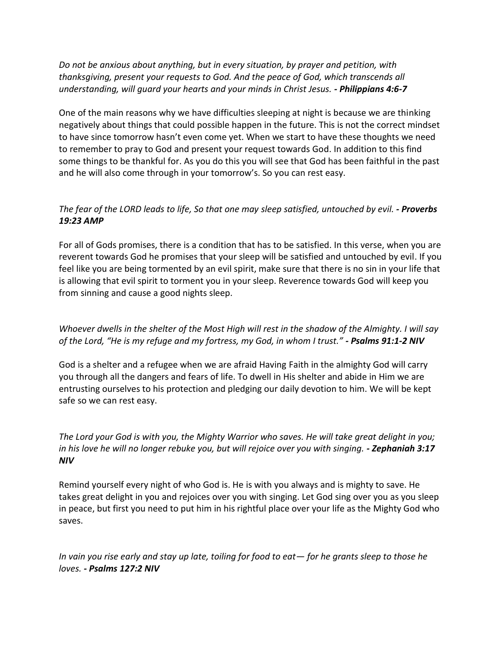*Do not be anxious about anything, but in every situation, by prayer and petition, with thanksgiving, present your requests to God. And the peace of God, which transcends all understanding, will guard your hearts and your minds in Christ Jesus. - Philippians 4:6-7*

One of the main reasons why we have difficulties sleeping at night is because we are thinking negatively about things that could possible happen in the future. This is not the correct mindset to have since tomorrow hasn't even come yet. When we start to have these thoughts we need to remember to pray to God and present your request towards God. In addition to this find some things to be thankful for. As you do this you will see that God has been faithful in the past and he will also come through in your tomorrow's. So you can rest easy.

## *The fear of the LORD leads to life, So that one may sleep satisfied, untouched by evil. - Proverbs 19:23 AMP*

For all of Gods promises, there is a condition that has to be satisfied. In this verse, when you are reverent towards God he promises that your sleep will be satisfied and untouched by evil. If you feel like you are being tormented by an evil spirit, make sure that there is no sin in your life that is allowing that evil spirit to torment you in your sleep. Reverence towards God will keep you from sinning and cause a good nights sleep.

## *Whoever dwells in the shelter of the Most High will rest in the shadow of the Almighty. I will say of the Lord, "He is my refuge and my fortress, my God, in whom I trust." - Psalms 91:1-2 NIV*

God is a shelter and a refugee when we are afraid Having Faith in the almighty God will carry you through all the dangers and fears of life. To dwell in His shelter and abide in Him we are entrusting ourselves to his protection and pledging our daily devotion to him. We will be kept safe so we can rest easy.

*The Lord your God is with you, the Mighty Warrior who saves. He will take great delight in you; in his love he will no longer rebuke you, but will rejoice over you with singing. - Zephaniah 3:17 NIV*

Remind yourself every night of who God is. He is with you always and is mighty to save. He takes great delight in you and rejoices over you with singing. Let God sing over you as you sleep in peace, but first you need to put him in his rightful place over your life as the Mighty God who saves.

*In vain you rise early and stay up late, toiling for food to eat— for he grants sleep to those he loves. - Psalms 127:2 NIV*